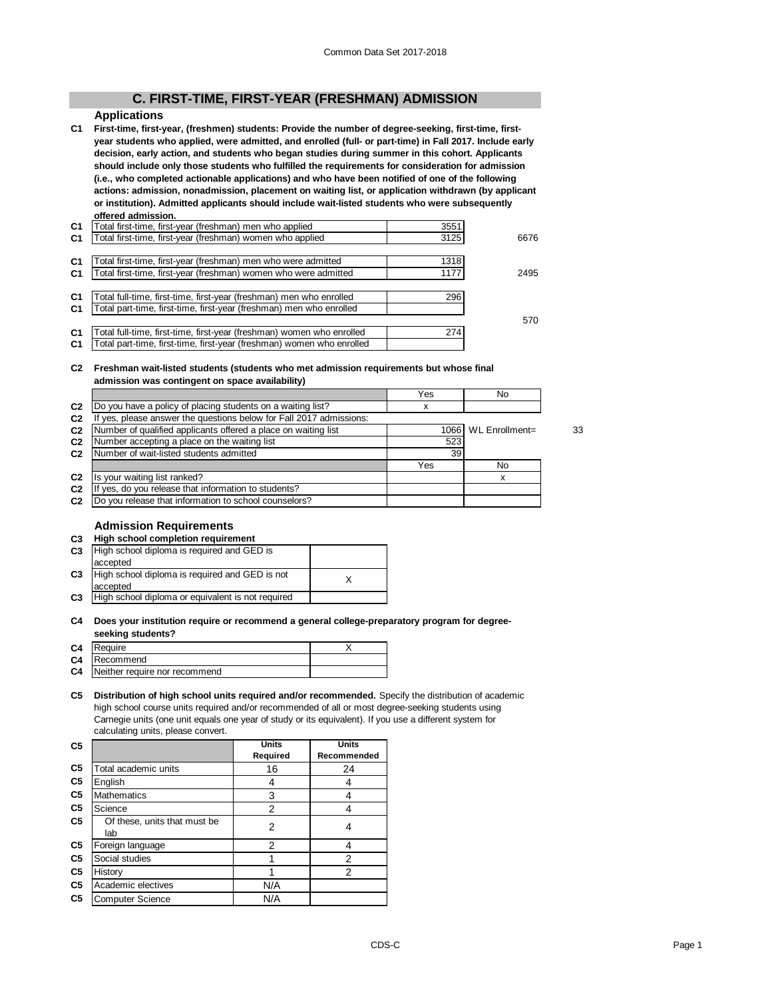# **C. FIRST-TIME, FIRST-YEAR (FRESHMAN) ADMISSION**

# **Applications**

**C1 First-time, first-year, (freshmen) students: Provide the number of degree-seeking, first-time, firstyear students who applied, were admitted, and enrolled (full- or part-time) in Fall 2017. Include early decision, early action, and students who began studies during summer in this cohort. Applicants should include only those students who fulfilled the requirements for consideration for admission (i.e., who completed actionable applications) and who have been notified of one of the following actions: admission, nonadmission, placement on waiting list, or application withdrawn (by applicant or institution). Admitted applicants should include wait-listed students who were subsequently offered admission.**

| C <sub>1</sub> | Total first-time, first-year (freshman) men who applied               | 3551 |      |
|----------------|-----------------------------------------------------------------------|------|------|
| C <sub>1</sub> | Total first-time, first-year (freshman) women who applied             | 3125 | 6676 |
|                |                                                                       |      |      |
| C <sub>1</sub> | Total first-time, first-year (freshman) men who were admitted         | 1318 |      |
| C <sub>1</sub> | Total first-time, first-year (freshman) women who were admitted       | 1177 | 2495 |
|                |                                                                       |      |      |
| C <sub>1</sub> | Total full-time, first-time, first-year (freshman) men who enrolled   | 296  |      |
| C <sub>1</sub> | Total part-time, first-time, first-year (freshman) men who enrolled   |      |      |
|                |                                                                       |      | 570  |
| C <sub>1</sub> | Total full-time, first-time, first-year (freshman) women who enrolled | 274  |      |
| C1             | Total part-time, first-time, first-year (freshman) women who enrolled |      |      |
|                |                                                                       |      |      |

#### **C2 Freshman wait-listed students (students who met admission requirements but whose final admission was contingent on space availability)**

|                |                                                                     | Yes | No                  |    |
|----------------|---------------------------------------------------------------------|-----|---------------------|----|
| C <sub>2</sub> | Do you have a policy of placing students on a waiting list?         |     |                     |    |
| C <sub>2</sub> | If yes, please answer the questions below for Fall 2017 admissions: |     |                     |    |
| C <sub>2</sub> | Number of qualified applicants offered a place on waiting list      |     | 1066 WL Enrollment= | 33 |
| C <sub>2</sub> | Number accepting a place on the waiting list                        |     |                     |    |
| C <sub>2</sub> | Number of wait-listed students admitted                             | 39  |                     |    |
|                |                                                                     | Yes | No                  |    |
| C <sub>2</sub> | Is your waiting list ranked?                                        |     |                     |    |
| C <sub>2</sub> | yes, do you release that information to students?                   |     |                     |    |
| C <sub>2</sub> | Do you release that information to school counselors?               |     |                     |    |

# **Admission Requirements**

| C <sub>3</sub> | High school completion requirement                |  |
|----------------|---------------------------------------------------|--|
| C <sub>3</sub> | High school diploma is required and GED is        |  |
|                | accepted                                          |  |
| C <sub>3</sub> | High school diploma is required and GED is not    |  |
|                | accepted                                          |  |
| C <sub>3</sub> | High school diploma or equivalent is not required |  |
|                |                                                   |  |

#### **C4 Does your institution require or recommend a general college-preparatory program for degreeseeking students?**

| C4 Require                       |  |
|----------------------------------|--|
| C4 Recommend                     |  |
| C4 Neither require nor recommend |  |
|                                  |  |

#### **C5 Distribution of high school units required and/or recommended.** Specify the distribution of academic high school course units required and/or recommended of all or most degree-seeking students using Carnegie units (one unit equals one year of study or its equivalent). If you use a different system for calculating units, please convert.

| C <sub>5</sub> |                                     | <b>Units</b> | <b>Units</b> |
|----------------|-------------------------------------|--------------|--------------|
|                |                                     | Required     | Recommended  |
| C <sub>5</sub> | Total academic units                | 16           | 24           |
| C <sub>5</sub> | English                             |              |              |
| C <sub>5</sub> | <b>Mathematics</b>                  | 3            |              |
| C <sub>5</sub> | Science                             | 2            |              |
| C <sub>5</sub> | Of these, units that must be<br>lab | 2            |              |
| C <sub>5</sub> | Foreign language                    | 2            |              |
| C <sub>5</sub> | Social studies                      |              | 2            |
| C <sub>5</sub> | History                             |              | 2            |
| C5             | Academic electives                  | N/A          |              |
| C <sub>5</sub> | <b>Computer Science</b>             | N/A          |              |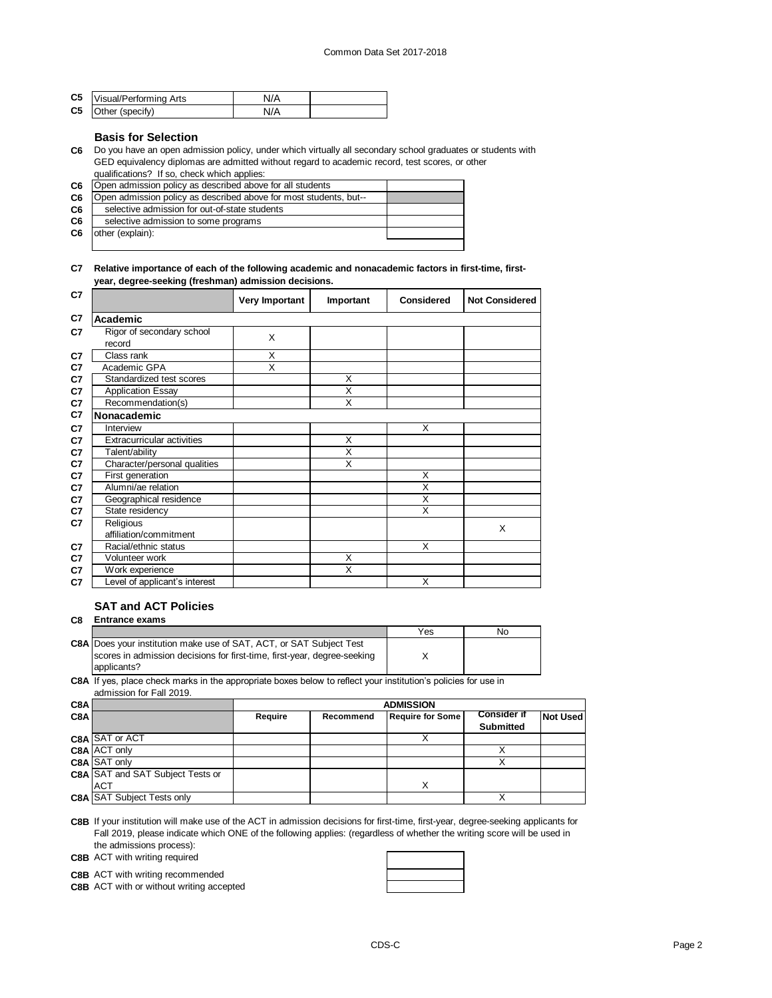| C5 Visual/Performing Arts | N/A |  |
|---------------------------|-----|--|
| C5 Other (specify)        | N/A |  |

## **Basis for Selection**

**C6** Do you have an open admission policy, under which virtually all secondary school graduates or students with GED equivalency diplomas are admitted without regard to academic record, test scores, or other qualifications? If so, check which applies:

| C <sub>6</sub> | Open admission policy as described above for all students         |  |
|----------------|-------------------------------------------------------------------|--|
| C <sub>6</sub> | Open admission policy as described above for most students, but-- |  |
| C6             | selective admission for out-of-state students                     |  |
| C6             | selective admission to some programs                              |  |
| C <sub>6</sub> | other (explain):                                                  |  |
|                |                                                                   |  |

#### **C7 Relative importance of each of the following academic and nonacademic factors in first-time, firstyear, degree-seeking (freshman) admission decisions.**

| C7             |                                     | Very Important | Important               | <b>Considered</b> | <b>Not Considered</b> |
|----------------|-------------------------------------|----------------|-------------------------|-------------------|-----------------------|
| C7             | Academic                            |                |                         |                   |                       |
| C7             | Rigor of secondary school<br>record | X              |                         |                   |                       |
| C7             | Class rank                          | X              |                         |                   |                       |
| C7             | Academic GPA                        | X              |                         |                   |                       |
| C7             | Standardized test scores            |                | X                       |                   |                       |
| C7             | <b>Application Essay</b>            |                | X                       |                   |                       |
| C7             | Recommendation(s)                   |                | X                       |                   |                       |
| C7             | Nonacademic                         |                |                         |                   |                       |
| C <sub>7</sub> | Interview                           |                |                         | X                 |                       |
| C7             | <b>Extracurricular activities</b>   |                | X                       |                   |                       |
| C7             | Talent/ability                      |                | $\overline{\mathsf{x}}$ |                   |                       |
| C7             | Character/personal qualities        |                | $\overline{\mathsf{x}}$ |                   |                       |
| C7             | First generation                    |                |                         | X                 |                       |
| C7             | Alumni/ae relation                  |                |                         | X                 |                       |
| C7             | Geographical residence              |                |                         | X                 |                       |
| C7             | State residency                     |                |                         | X                 |                       |
| C7             | Religious                           |                |                         |                   | X                     |
|                | affiliation/commitment              |                |                         |                   |                       |
| C7             | Racial/ethnic status                |                |                         | X                 |                       |
| C7             | Volunteer work                      |                | X                       |                   |                       |
| C7             | Work experience                     |                | X                       |                   |                       |
| C7             | Level of applicant's interest       |                |                         | X                 |                       |

# **SAT and ACT Policies**

| C8 | <b>Entrance exams</b>                                                      |     |    |
|----|----------------------------------------------------------------------------|-----|----|
|    |                                                                            | Yes | No |
|    | <b>C8A Does your institution make use of SAT, ACT, or SAT Subject Test</b> |     |    |
|    | scores in admission decisions for first-time, first-year, degree-seeking   |     |    |
|    | applicants?                                                                |     |    |

**C8A** If yes, place check marks in the appropriate boxes below to reflect your institution's policies for use in admission for Fall 2019.

| C8A |                                         |         | <b>ADMISSION</b> |                         |                    |                 |  |  |
|-----|-----------------------------------------|---------|------------------|-------------------------|--------------------|-----------------|--|--|
| C8A |                                         | Require | Recommend        | <b>Require for Some</b> | <b>Consider if</b> | <b>Not Used</b> |  |  |
|     |                                         |         |                  |                         | <b>Submitted</b>   |                 |  |  |
|     | <b>C8A SAT or ACT</b>                   |         |                  |                         |                    |                 |  |  |
|     | C8A ACT only                            |         |                  |                         |                    |                 |  |  |
|     | C8A SAT only                            |         |                  |                         |                    |                 |  |  |
|     | <b>C8A</b> SAT and SAT Subject Tests or |         |                  |                         |                    |                 |  |  |
|     | <b>ACT</b>                              |         |                  |                         |                    |                 |  |  |
|     | <b>C8A SAT Subject Tests only</b>       |         |                  |                         |                    |                 |  |  |

**C8B** If your institution will make use of the ACT in admission decisions for first-time, first-year, degree-seeking applicants for Fall 2019, please indicate which ONE of the following applies: (regardless of whether the writing score will be used in the admissions process):

**C8B** ACT with writing required

**C8B** ACT with writing recommended

**C8B** ACT with or without writing accepted

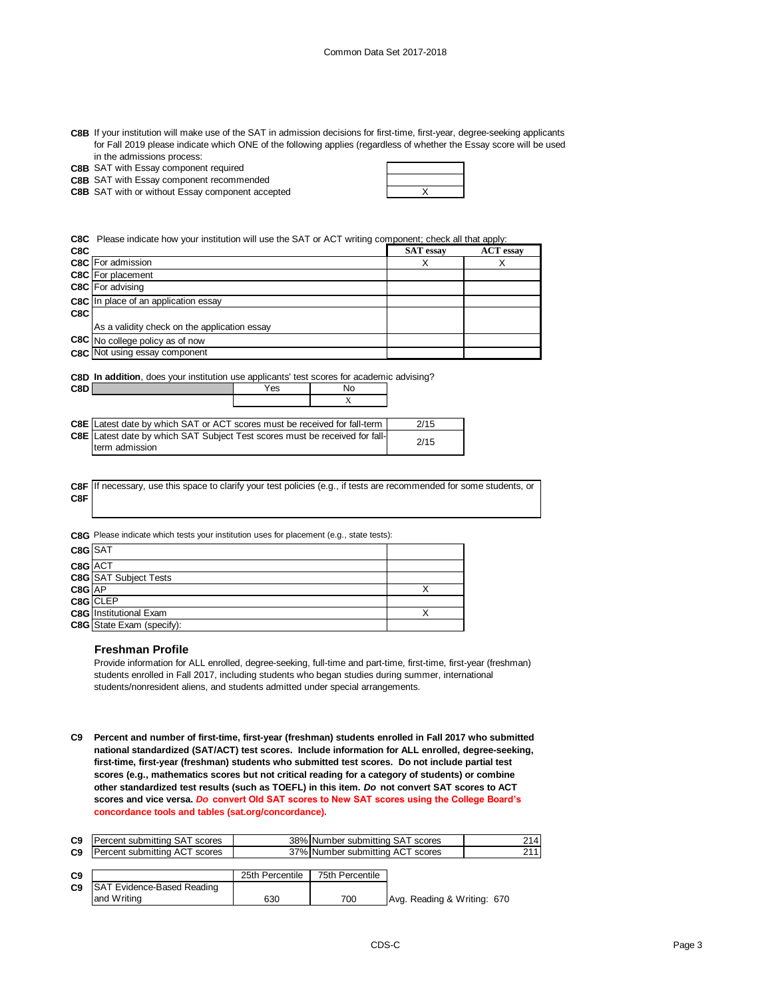| C8B If your institution will make use of the SAT in admission decisions for first-time, first-year, degree-seeking applicants |
|-------------------------------------------------------------------------------------------------------------------------------|
| for Fall 2019 please indicate which ONE of the following applies (regardless of whether the Essay score will be used          |
| in the admissions process:                                                                                                    |

|  |  | <b>C8B</b> SAT with Essay component required |  |
|--|--|----------------------------------------------|--|
|  |  |                                              |  |

**C8B** SAT with Essay component recommended

**C8B** SAT with or without Essay component accepted  $\begin{array}{ccc} \hline \end{array}$   $\begin{array}{ccc} \hline \end{array}$ 

**C8C** Please indicate how your institution will use the SAT or ACT writing component; check all that apply:

| <b>C8C</b> For admission<br>Χ<br><b>C8C</b> For placement | <b>ACT</b> essay |
|-----------------------------------------------------------|------------------|
|                                                           |                  |
|                                                           |                  |
| <b>C8C</b> For advising                                   |                  |
| C8C In place of an application essay                      |                  |
| C8C                                                       |                  |
| As a validity check on the application essay              |                  |
| C8C No college policy as of now                           |                  |
| C8C Not using essay component                             |                  |

|     | <b>C8D In addition</b> , does your institution use applicants' test scores for academic advising? |     |    |  |  |
|-----|---------------------------------------------------------------------------------------------------|-----|----|--|--|
| C8D |                                                                                                   | Yes | Nο |  |  |
|     |                                                                                                   |     |    |  |  |

| <b>C8E</b> Latest date by which SAT or ACT scores must be received for fall-term   | 2/15 |
|------------------------------------------------------------------------------------|------|
| <b>C8E</b> Latest date by which SAT Subject Test scores must be received for fall- | 2/15 |
| term admission                                                                     |      |

|     | C8F If necessary, use this space to clarify your test policies (e.g., if tests are recommended for some students, or |
|-----|----------------------------------------------------------------------------------------------------------------------|
| C8F |                                                                                                                      |

**C8G** Please indicate which tests your institution uses for placement (e.g., state tests):

| C8G SAT |                                  |  |
|---------|----------------------------------|--|
| C8G ACT |                                  |  |
|         | <b>C8G</b> SAT Subject Tests     |  |
| C8G AP  |                                  |  |
|         | C8G CLEP                         |  |
|         | <b>C8G</b> Institutional Exam    |  |
|         | <b>C8G</b> State Exam (specify): |  |

#### **Freshman Profile**

Provide information for ALL enrolled, degree-seeking, full-time and part-time, first-time, first-year (freshman) students enrolled in Fall 2017, including students who began studies during summer, international students/nonresident aliens, and students admitted under special arrangements.

**C9 Percent and number of first-time, first-year (freshman) students enrolled in Fall 2017 who submitted national standardized (SAT/ACT) test scores. Include information for ALL enrolled, degree-seeking, first-time, first-year (freshman) students who submitted test scores. Do not include partial test scores (e.g., mathematics scores but not critical reading for a category of students) or combine other standardized test results (such as TOEFL) in this item.** *Do* **not convert SAT scores to ACT scores and vice versa.** *Do* **convert Old SAT scores to New SAT scores using the College Board's concordance tools and tables (sat.org/concordance).**

| C <sub>9</sub> | Percent submitting SAT scores     |                 | 38% Number submitting SAT scores |                             | 214 |
|----------------|-----------------------------------|-----------------|----------------------------------|-----------------------------|-----|
| C <sub>9</sub> | Percent submitting ACT scores     |                 | 37% Number submitting ACT scores |                             | 211 |
| C9             |                                   | 25th Percentile | 75th Percentile                  |                             |     |
| C9             | <b>SAT Evidence-Based Reading</b> |                 |                                  |                             |     |
|                | and Writing                       | 630             | 700                              | Avg. Reading & Writing: 670 |     |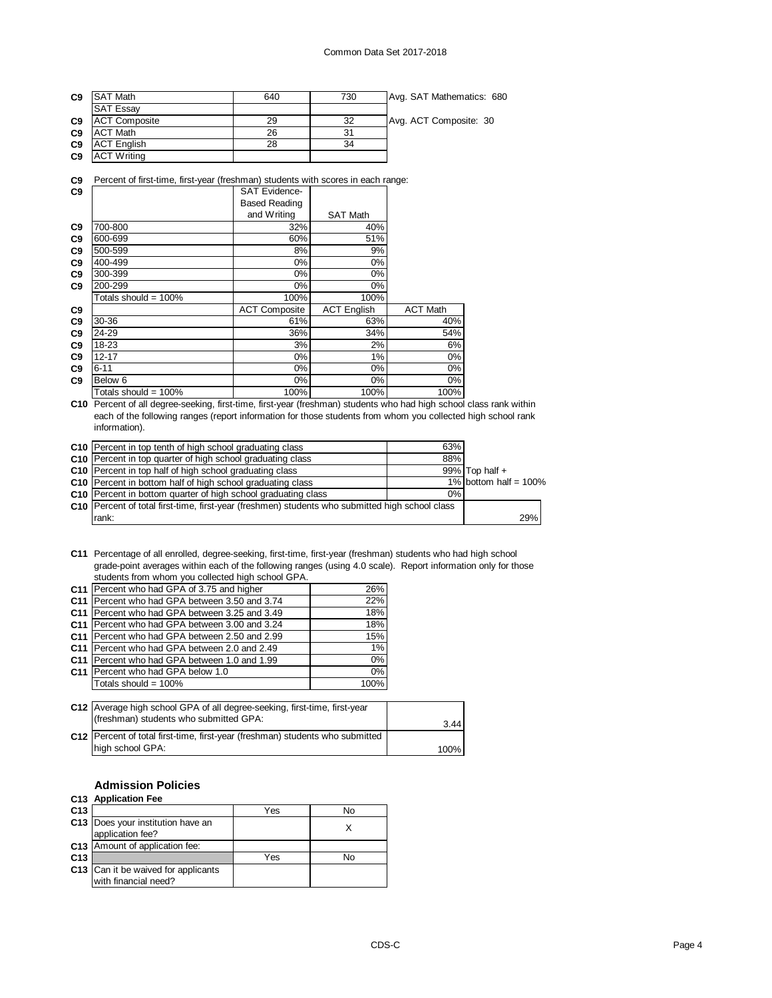| C <sub>9</sub> | <b>SAT Math</b>      | 640 | 730 | Avg. SAT Mathematics: 680 |
|----------------|----------------------|-----|-----|---------------------------|
|                | <b>SAT Essay</b>     |     |     |                           |
| C <sub>9</sub> | <b>ACT Composite</b> | 29  | 32  | Avg. ACT Composite: 30    |
| C <sub>9</sub> | <b>ACT Math</b>      | 26  | 31  |                           |
| C <sub>9</sub> | <b>ACT English</b>   | 28  | 34  |                           |
| C9             | <b>ACT Writing</b>   |     |     |                           |

**C9** Percent of first-time, first-year (freshman) students with scores in each range:

| C <sub>9</sub> |                         | <b>SAT Evidence-</b> |                    |                 |
|----------------|-------------------------|----------------------|--------------------|-----------------|
|                |                         | <b>Based Reading</b> |                    |                 |
|                |                         | and Writing          | <b>SAT Math</b>    |                 |
| C <sub>9</sub> | 700-800                 | 32%                  | 40%                |                 |
| C <sub>9</sub> | 600-699                 | 60%                  | 51%                |                 |
| C <sub>9</sub> | 500-599                 | 8%                   | 9%                 |                 |
| C <sub>9</sub> | 400-499                 | 0%                   | 0%                 |                 |
| C <sub>9</sub> | 300-399                 | $0\%$                | 0%                 |                 |
| C <sub>9</sub> | 200-299                 | 0%                   | 0%                 |                 |
|                | Totals should = $100\%$ | 100%                 | 100%               |                 |
| C <sub>9</sub> |                         | <b>ACT Composite</b> | <b>ACT English</b> | <b>ACT Math</b> |
| C <sub>9</sub> | 30-36                   | 61%                  | 63%                | 40%             |
| C <sub>9</sub> | 24-29                   | 36%                  | 34%                | 54%             |
| C <sub>9</sub> | 18-23                   | 3%                   | 2%                 | 6%              |
| C <sub>9</sub> | $12 - 17$               | 0%                   | 1%                 | 0%              |
| C <sub>9</sub> | $6 - 11$                | 0%                   | 0%                 | 0%              |
| C <sub>9</sub> | Below 6                 | 0%                   | 0%                 | 0%              |
|                | Totals should = 100%    | 100%                 | 100%               | 100%            |

**C10** Percent of all degree-seeking, first-time, first-year (freshman) students who had high school class rank within each of the following ranges (report information for those students from whom you collected high school rank information).

| C <sub>10</sub> Percent in top tenth of high school graduating class                              | 63%   |                          |     |
|---------------------------------------------------------------------------------------------------|-------|--------------------------|-----|
| C10 Percent in top quarter of high school graduating class                                        | 88%   |                          |     |
| C10 Percent in top half of high school graduating class                                           |       | $99\%$ Top half +        |     |
| C10 Percent in bottom half of high school graduating class                                        |       | 1% bottom half = $100\%$ |     |
| C10 Percent in bottom quarter of high school graduating class                                     | $0\%$ |                          |     |
| C10   Percent of total first-time, first-year (freshmen) students who submitted high school class |       |                          |     |
| rank:                                                                                             |       |                          | 29% |

**C11** Percentage of all enrolled, degree-seeking, first-time, first-year (freshman) students who had high school grade-point averages within each of the following ranges (using 4.0 scale). Report information only for those students from whom you collected high school GPA.

|                 | C11 Percent who had GPA of 3.75 and higher     | 26%  |
|-----------------|------------------------------------------------|------|
| C <sub>11</sub> | Percent who had GPA between 3.50 and 3.74      | 22%  |
| C <sub>11</sub> | Percent who had GPA between 3.25 and 3.49      | 18%  |
| C <sub>11</sub> | Percent who had GPA between 3.00 and 3.24      | 18%  |
| C <sub>11</sub> | Percent who had GPA between 2.50 and 2.99      | 15%  |
|                 | C11   Percent who had GPA between 2.0 and 2.49 | 1%   |
| C <sub>11</sub> | Percent who had GPA between 1.0 and 1.99       | 0%   |
|                 | C11 Percent who had GPA below 1.0              | 0%   |
|                 | Totals should = $100\%$                        | 100% |

| C12 Average high school GPA of all degree-seeking, first-time, first-year<br>(freshman) students who submitted GPA: | 3.44 |
|---------------------------------------------------------------------------------------------------------------------|------|
| C12 Percent of total first-time, first-year (freshman) students who submitted                                       |      |
| high school GPA:                                                                                                    | 100% |

### **Admission Policies**

## **C13 Application Fee**

| C <sub>13</sub> |                                                             | Yes | No |
|-----------------|-------------------------------------------------------------|-----|----|
|                 | C13 Does your institution have an<br>application fee?       |     |    |
|                 | C13 Amount of application fee:                              |     |    |
| C <sub>13</sub> |                                                             | Yes | No |
|                 | C13 Can it be waived for applicants<br>with financial need? |     |    |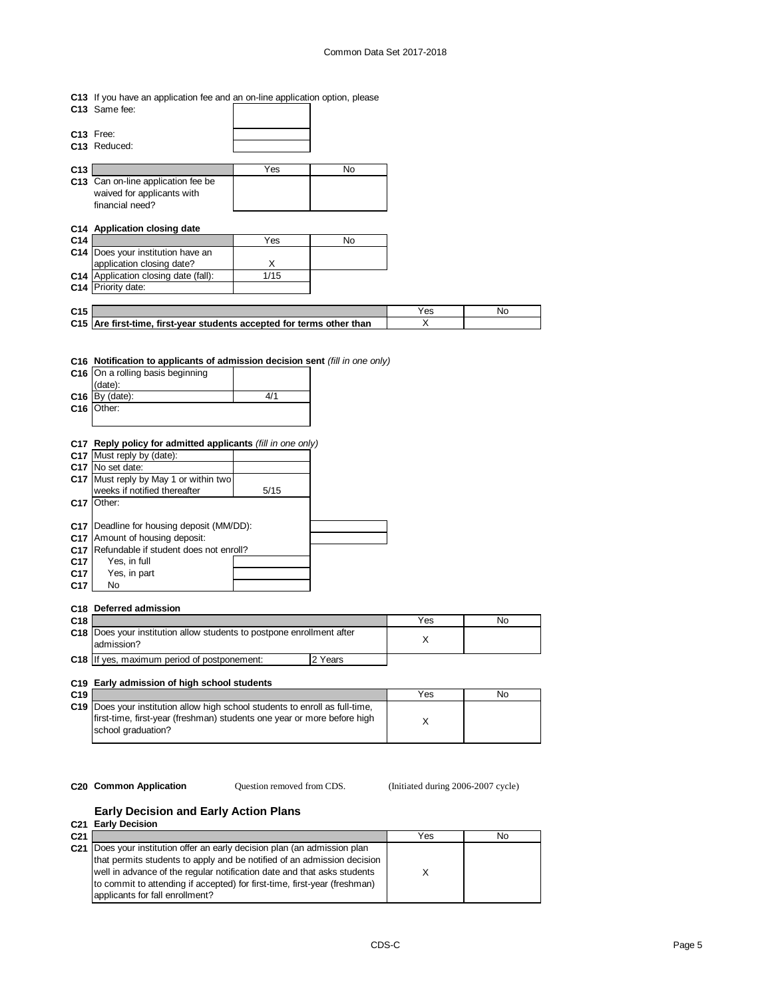- **C13** If you have an application fee and an on-line application option, please
- **C13** Same fee:
- **C13** Free: **C13** Reduced:

| C <sub>13</sub> |                                    | Yes | No |
|-----------------|------------------------------------|-----|----|
|                 | C13 Can on-line application fee be |     |    |
|                 | waived for applicants with         |     |    |
|                 | financial need?                    |     |    |

## **C14 Application closing date**

| C <sub>14</sub> |                                      | Yes  | No |
|-----------------|--------------------------------------|------|----|
|                 | C14 Does your institution have an    |      |    |
|                 | application closing date?            |      |    |
|                 | C14 Application closing date (fall): | 1/15 |    |
|                 | C14 Priority date:                   |      |    |
|                 |                                      |      |    |

| C <sub>15</sub> |                                                                       | Nc |
|-----------------|-----------------------------------------------------------------------|----|
|                 | C15 Are first-time, first-year students accepted for terms other than |    |
|                 |                                                                       |    |

# **C16 Notification to applicants of admission decision sent** *(fill in one only)*

| C16 On a rolling basis beginning |     |
|----------------------------------|-----|
| (date):                          |     |
| $C16$ By (date):                 | 4/1 |
| $C16$ Other:                     |     |
|                                  |     |

## **C17 Reply policy for admitted applicants** *(fill in one only)*

|                 | C17 Must reply by (date):              |      |  |
|-----------------|----------------------------------------|------|--|
|                 | C17 No set date:                       |      |  |
| C <sub>17</sub> | Must reply by May 1 or within two      |      |  |
|                 | weeks if notified thereafter           | 5/15 |  |
| C <sub>17</sub> | Other:                                 |      |  |
|                 |                                        |      |  |
| C17             | Deadline for housing deposit (MM/DD):  |      |  |
| C <sub>17</sub> | Amount of housing deposit:             |      |  |
| C <sub>17</sub> | Refundable if student does not enroll? |      |  |
| C <sub>17</sub> | Yes, in full                           |      |  |
| C <sub>17</sub> | Yes, in part                           |      |  |
| C <sub>17</sub> | No                                     |      |  |

#### **C18 Deferred admission**

| C <sub>18</sub> |                                                                                            |         | Yes | No |
|-----------------|--------------------------------------------------------------------------------------------|---------|-----|----|
|                 | <b>C18</b> Does your institution allow students to postpone enrollment after<br>admission? |         |     |    |
|                 | C18 If yes, maximum period of postponement:                                                | 2 Years |     |    |

## **C19 Early admission of high school students**

| C <sub>19</sub> |                                                                                                                                                                                      | Yes | No |
|-----------------|--------------------------------------------------------------------------------------------------------------------------------------------------------------------------------------|-----|----|
|                 | <b>C19</b> Does your institution allow high school students to enroll as full-time.<br>first-time, first-year (freshman) students one year or more before high<br>school graduation? |     |    |

Question removed from CDS.

**C20 Common Application C** Question removed from CDS. (Initiated during 2006-2007 cycle)

#### **Early Decision and Early Action Plans C21 Early Decision**

|                 | <b>UZI LAIN DEVISION</b>                                                  |     |    |
|-----------------|---------------------------------------------------------------------------|-----|----|
| C <sub>21</sub> |                                                                           | Yes | No |
| C <sub>21</sub> | Does your institution offer an early decision plan (an admission plan     |     |    |
|                 | that permits students to apply and be notified of an admission decision   |     |    |
|                 | well in advance of the regular notification date and that asks students   |     |    |
|                 | to commit to attending if accepted) for first-time, first-year (freshman) |     |    |
|                 | applicants for fall enrollment?                                           |     |    |